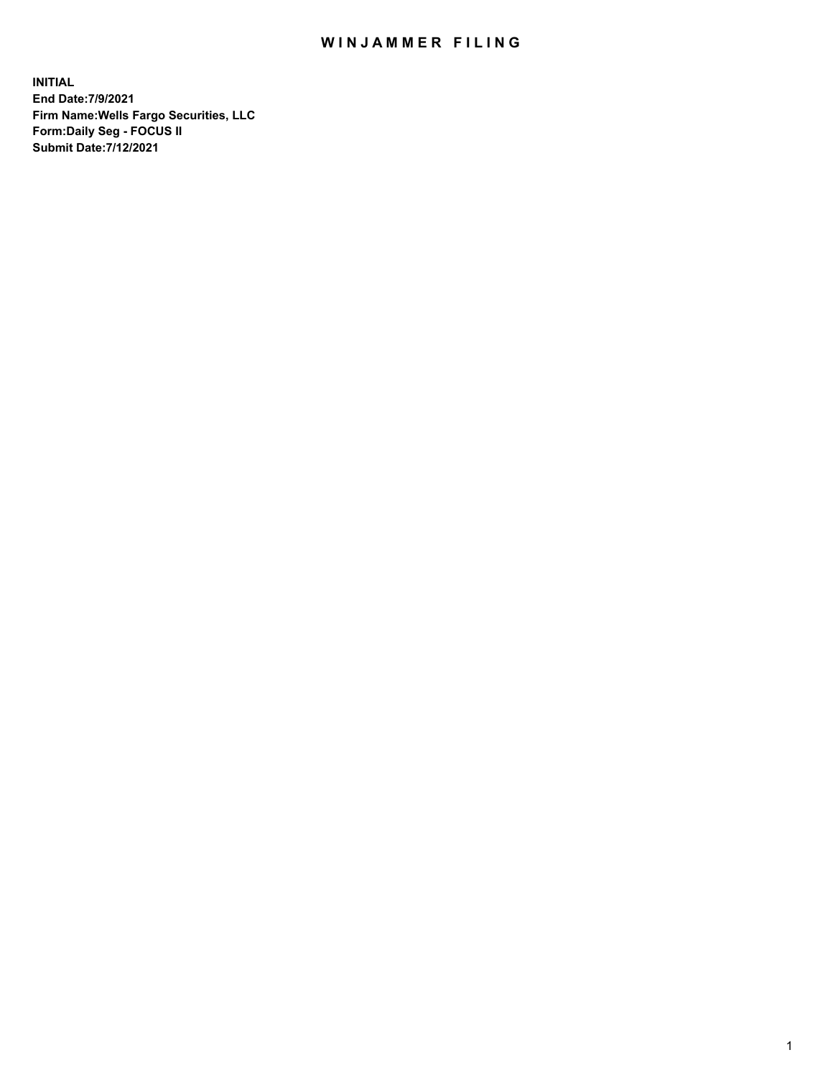## WIN JAMMER FILING

**INITIAL End Date:7/9/2021 Firm Name:Wells Fargo Securities, LLC Form:Daily Seg - FOCUS II Submit Date:7/12/2021**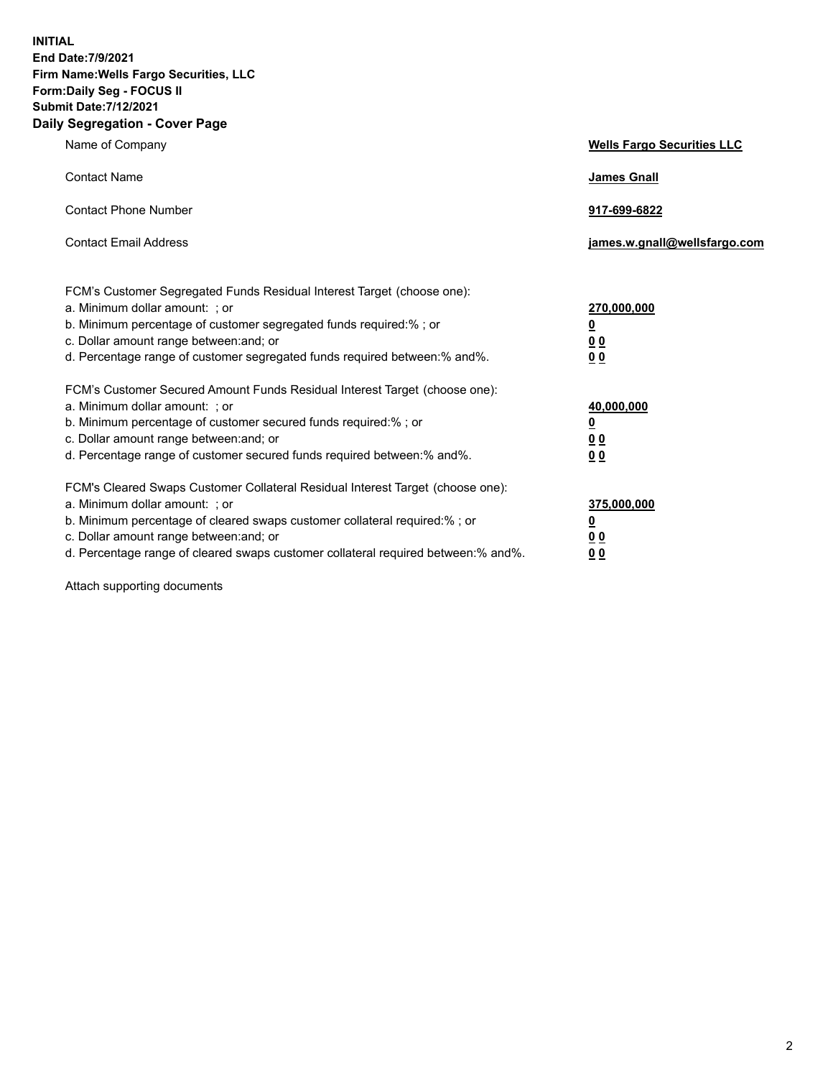**INITIAL End Date:7/9/2021 Firm Name:Wells Fargo Securities, LLC Form:Daily Seg - FOCUS II Submit Date:7/12/2021 Daily Segregation - Cover Page**

| Name of Company                                                                                                                                                                                                                                                                                                                | <b>Wells Fargo Securities LLC</b>                           |
|--------------------------------------------------------------------------------------------------------------------------------------------------------------------------------------------------------------------------------------------------------------------------------------------------------------------------------|-------------------------------------------------------------|
| <b>Contact Name</b>                                                                                                                                                                                                                                                                                                            | <b>James Gnall</b>                                          |
| <b>Contact Phone Number</b>                                                                                                                                                                                                                                                                                                    | 917-699-6822                                                |
| <b>Contact Email Address</b>                                                                                                                                                                                                                                                                                                   | james.w.gnall@wellsfargo.com                                |
| FCM's Customer Segregated Funds Residual Interest Target (choose one):<br>a. Minimum dollar amount: ; or<br>b. Minimum percentage of customer segregated funds required:% ; or<br>c. Dollar amount range between: and; or<br>d. Percentage range of customer segregated funds required between:% and%.                         | 270,000,000<br><u>0</u><br>0 <sub>0</sub><br>00             |
| FCM's Customer Secured Amount Funds Residual Interest Target (choose one):<br>a. Minimum dollar amount: ; or<br>b. Minimum percentage of customer secured funds required:% ; or<br>c. Dollar amount range between: and; or<br>d. Percentage range of customer secured funds required between:% and%.                           | 40,000,000<br><u>0</u><br><u>00</u><br>0 <sub>0</sub>       |
| FCM's Cleared Swaps Customer Collateral Residual Interest Target (choose one):<br>a. Minimum dollar amount: ; or<br>b. Minimum percentage of cleared swaps customer collateral required:% ; or<br>c. Dollar amount range between: and; or<br>d. Percentage range of cleared swaps customer collateral required between:% and%. | 375,000,000<br><u>0</u><br>0 <sub>0</sub><br>0 <sub>0</sub> |

Attach supporting documents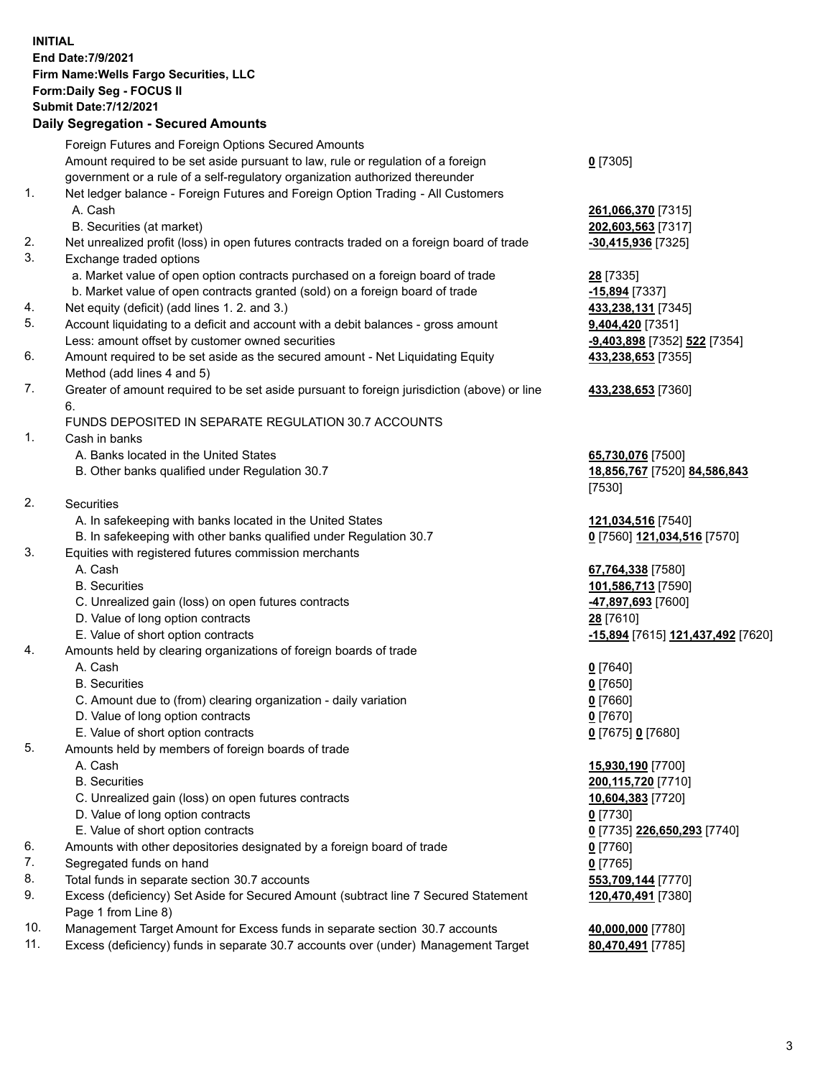**INITIAL End Date:7/9/2021 Firm Name:Wells Fargo Securities, LLC Form:Daily Seg - FOCUS II Submit Date:7/12/2021**

## **Daily Segregation - Secured Amounts**

|                 | Foreign Futures and Foreign Options Secured Amounts                                         |                                                       |
|-----------------|---------------------------------------------------------------------------------------------|-------------------------------------------------------|
|                 | Amount required to be set aside pursuant to law, rule or regulation of a foreign            | $0$ [7305]                                            |
|                 | government or a rule of a self-regulatory organization authorized thereunder                |                                                       |
| 1.              | Net ledger balance - Foreign Futures and Foreign Option Trading - All Customers             |                                                       |
|                 | A. Cash                                                                                     | 261,066,370 [7315]                                    |
|                 | B. Securities (at market)                                                                   | 202,603,563 [7317]                                    |
| 2.              | Net unrealized profit (loss) in open futures contracts traded on a foreign board of trade   | -30,415,936 [7325]                                    |
| 3.              | Exchange traded options                                                                     |                                                       |
|                 | a. Market value of open option contracts purchased on a foreign board of trade              | <b>28</b> [7335]                                      |
|                 | b. Market value of open contracts granted (sold) on a foreign board of trade                | -15,894 [7337]                                        |
| 4.              | Net equity (deficit) (add lines 1. 2. and 3.)                                               | 433,238,131 [7345]                                    |
| 5.              | Account liquidating to a deficit and account with a debit balances - gross amount           | 9,404,420 [7351]                                      |
|                 | Less: amount offset by customer owned securities                                            | -9,403,898 [7352] 522 [7354]                          |
| 6.              | Amount required to be set aside as the secured amount - Net Liquidating Equity              | 433,238,653 [7355]                                    |
|                 | Method (add lines 4 and 5)                                                                  |                                                       |
| 7.              | Greater of amount required to be set aside pursuant to foreign jurisdiction (above) or line | 433,238,653 [7360]                                    |
|                 | 6.                                                                                          |                                                       |
|                 | FUNDS DEPOSITED IN SEPARATE REGULATION 30.7 ACCOUNTS                                        |                                                       |
| 1.              | Cash in banks                                                                               |                                                       |
|                 | A. Banks located in the United States                                                       | 65,730,076 [7500]                                     |
|                 | B. Other banks qualified under Regulation 30.7                                              | 18,856,767 [7520] 84,586,843                          |
|                 |                                                                                             | [7530]                                                |
| 2.              | Securities                                                                                  |                                                       |
|                 | A. In safekeeping with banks located in the United States                                   | 121,034,516 [7540]                                    |
|                 | B. In safekeeping with other banks qualified under Regulation 30.7                          | 0 [7560] 121,034,516 [7570]                           |
| 3.              | Equities with registered futures commission merchants                                       |                                                       |
|                 | A. Cash                                                                                     | 67,764,338 [7580]                                     |
|                 | <b>B.</b> Securities                                                                        | 101,586,713 [7590]                                    |
|                 | C. Unrealized gain (loss) on open futures contracts                                         | 47,897,693 [7600]                                     |
|                 | D. Value of long option contracts                                                           | 28 [7610]                                             |
|                 | E. Value of short option contracts                                                          | <mark>-15,894</mark> [7615] <b>121,437,492</b> [7620] |
| 4.              | Amounts held by clearing organizations of foreign boards of trade                           |                                                       |
|                 | A. Cash                                                                                     | $0$ [7640]                                            |
|                 | <b>B.</b> Securities                                                                        | $0$ [7650]                                            |
|                 | C. Amount due to (from) clearing organization - daily variation                             | $0$ [7660]                                            |
|                 | D. Value of long option contracts                                                           | $0$ [7670]                                            |
|                 | E. Value of short option contracts                                                          | 0 [7675] 0 [7680]                                     |
| 5.              | Amounts held by members of foreign boards of trade                                          |                                                       |
|                 | A. Cash                                                                                     | 15,930,190 [7700]                                     |
|                 | <b>B.</b> Securities                                                                        | 200,115,720 [7710]                                    |
|                 | C. Unrealized gain (loss) on open futures contracts                                         | 10,604,383 [7720]                                     |
|                 | D. Value of long option contracts                                                           | $0$ [7730]                                            |
|                 | E. Value of short option contracts                                                          | 0 [7735] 226,650,293 [7740]                           |
| 6.              | Amounts with other depositories designated by a foreign board of trade                      | 0 [7760]                                              |
| 7.              | Segregated funds on hand                                                                    | $0$ [7765]                                            |
| 8.              | Total funds in separate section 30.7 accounts                                               | 553,709,144 [7770]                                    |
| 9.              | Excess (deficiency) Set Aside for Secured Amount (subtract line 7 Secured Statement         | 120,470,491 [7380]                                    |
| 10 <sub>1</sub> | Page 1 from Line 8)<br>est Amount for Excass funds in concrete contien 20.7 execute         | 10.0000000077001                                      |
|                 |                                                                                             |                                                       |

- 10. Management Target Amount for Excess funds in separate section 30.7 accounts **40,000,000** [7780]
- 11. Excess (deficiency) funds in separate 30.7 accounts over (under) Management Target **80,470,491** [7785]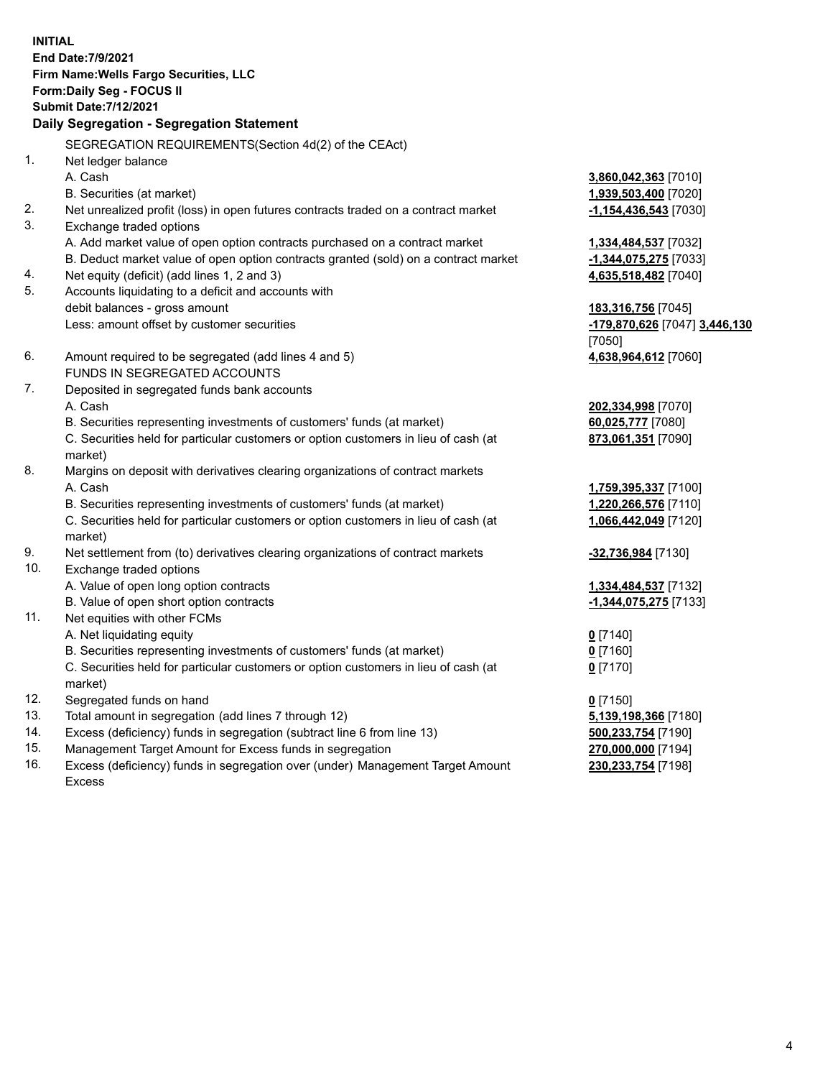**INITIAL End Date:7/9/2021 Firm Name:Wells Fargo Securities, LLC Form:Daily Seg - FOCUS II Submit Date:7/12/2021**

## **Daily Segregation - Segregation Statement**

SEGREGATION REQUIREMENTS(Section 4d(2) of the CEAct)

| $\mathbf{1}$ . | Net ledger balance                                                                  |                               |
|----------------|-------------------------------------------------------------------------------------|-------------------------------|
|                | A. Cash                                                                             | 3,860,042,363 [7010]          |
|                | B. Securities (at market)                                                           | 1,939,503,400 [7020]          |
| 2.             | Net unrealized profit (loss) in open futures contracts traded on a contract market  | -1,154,436,543 [7030]         |
| 3.             | Exchange traded options                                                             |                               |
|                | A. Add market value of open option contracts purchased on a contract market         | 1,334,484,537 [7032]          |
|                | B. Deduct market value of open option contracts granted (sold) on a contract market | -1,344,075,275 [7033]         |
| 4.             | Net equity (deficit) (add lines 1, 2 and 3)                                         | 4,635,518,482 [7040]          |
| 5.             | Accounts liquidating to a deficit and accounts with                                 |                               |
|                | debit balances - gross amount                                                       | 183,316,756 [7045]            |
|                | Less: amount offset by customer securities                                          | -179,870,626 [7047] 3,446,130 |
|                |                                                                                     | [7050]                        |
| 6.             | Amount required to be segregated (add lines 4 and 5)                                | 4,638,964,612 [7060]          |
|                | FUNDS IN SEGREGATED ACCOUNTS                                                        |                               |
| 7.             | Deposited in segregated funds bank accounts                                         |                               |
|                | A. Cash                                                                             | 202,334,998 [7070]            |
|                | B. Securities representing investments of customers' funds (at market)              | 60,025,777 [7080]             |
|                | C. Securities held for particular customers or option customers in lieu of cash (at | 873,061,351 [7090]            |
|                | market)                                                                             |                               |
| 8.             | Margins on deposit with derivatives clearing organizations of contract markets      |                               |
|                | A. Cash                                                                             | 1,759,395,337 [7100]          |
|                | B. Securities representing investments of customers' funds (at market)              | 1,220,266,576 [7110]          |
|                | C. Securities held for particular customers or option customers in lieu of cash (at | 1,066,442,049 [7120]          |
|                | market)                                                                             |                               |
| 9.             | Net settlement from (to) derivatives clearing organizations of contract markets     | -32,736,984 [7130]            |
| 10.            | Exchange traded options                                                             |                               |
|                | A. Value of open long option contracts                                              | 1,334,484,537 [7132]          |
|                | B. Value of open short option contracts                                             | -1,344,075,275 [7133]         |
| 11.            | Net equities with other FCMs                                                        |                               |
|                | A. Net liquidating equity                                                           | $0$ [7140]                    |
|                | B. Securities representing investments of customers' funds (at market)              | $0$ [7160]                    |
|                | C. Securities held for particular customers or option customers in lieu of cash (at | $0$ [7170]                    |
|                | market)                                                                             |                               |
| 12.            | Segregated funds on hand                                                            | $0$ [7150]                    |
| 13.            | Total amount in segregation (add lines 7 through 12)                                | 5,139,198,366 [7180]          |
| 14.            | Excess (deficiency) funds in segregation (subtract line 6 from line 13)             | 500,233,754 [7190]            |
| 15.            | Management Target Amount for Excess funds in segregation                            | 270,000,000 [7194]            |
| 16.            | Excess (deficiency) funds in segregation over (under) Management Target Amount      | 230,233,754 [7198]            |
|                | Excess                                                                              |                               |
|                |                                                                                     |                               |